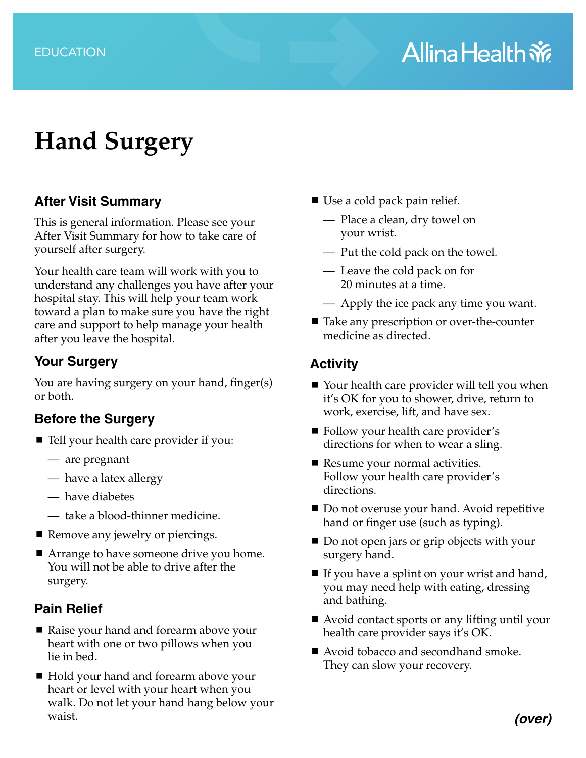# **Hand Surgery**

## **After Visit Summary**

This is general information. Please see your After Visit Summary for how to take care of yourself after surgery.

Your health care team will work with you to understand any challenges you have after your hospital stay. This will help your team work toward a plan to make sure you have the right care and support to help manage your health after you leave the hospital.

#### **Your Surgery**

You are having surgery on your hand, finger(s) or both.

## **Before the Surgery**

- Tell your health care provider if you:
	- are pregnant
	- have a latex allergy
	- have diabetes
	- take a blood-thinner medicine.
- Remove any jewelry or piercings.
- Arrange to have someone drive you home. You will not be able to drive after the surgery.

## **Pain Relief**

- Raise your hand and forearm above your heart with one or two pillows when you lie in bed.
- Hold your hand and forearm above your heart or level with your heart when you walk. Do not let your hand hang below your waist.
- Use a cold pack pain relief.
	- Place a clean, dry towel on your wrist.
	- Put the cold pack on the towel.
	- Leave the cold pack on for 20 minutes at a time.
	- Apply the ice pack any time you want.
- Take any prescription or over-the-counter medicine as directed.

# **Activity**

- Your health care provider will tell you when it's OK for you to shower, drive, return to work, exercise, lift, and have sex.
- Follow your health care provider's directions for when to wear a sling.
- Resume your normal activities. Follow your health care provider's directions.
- Do not overuse your hand. Avoid repetitive hand or finger use (such as typing).
- Do not open jars or grip objects with your surgery hand.
- If you have a splint on your wrist and hand, you may need help with eating, dressing and bathing.
- Avoid contact sports or any lifting until your health care provider says it's OK.
- Avoid tobacco and secondhand smoke. They can slow your recovery.